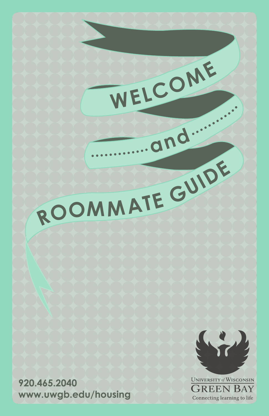## **920.465.2040 www.uwgb.edu/housing**





**WELCOM<sup>E</sup>**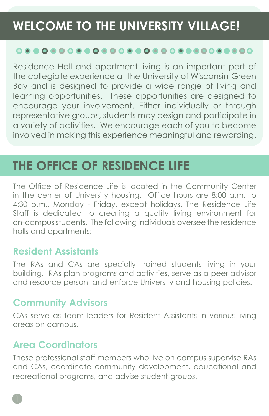# **WELCOME TO THE UNIVERSITY VILLAGE!**

#### .............................

Residence Hall and apartment living is an important part of the collegiate experience at the University of Wisconsin-Green Bay and is designed to provide a wide range of living and learning opportunities. These opportunities are designed to encourage your involvement. Either individually or through representative groups, students may design and participate in a variety of activities. We encourage each of you to become involved in making this experience meaningful and rewarding.

## **THE OFFICE OF RESIDENCE LIFE**

The Office of Residence Life is located in the Community Center in the center of University housing. Office hours are 8:00 a.m. to 4:30 p.m., Monday - Friday, except holidays. The Residence Life Staff is dedicated to creating a quality living environment for on-campus students. The following individuals oversee the residence halls and apartments:

#### **Resident Assistants**

The RAs and CAs are specially trained students living in your building. RAs plan programs and activities, serve as a peer advisor and resource person, and enforce University and housing policies.

#### **Community Advisors**

CAs serve as team leaders for Resident Assistants in various living areas on campus.

#### **Area Coordinators**

These professional staff members who live on campus supervise RAs and CAs, coordinate community development, educational and recreational programs, and advise student groups.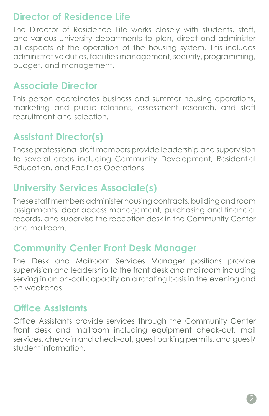## **Director of Residence Life**

The Director of Residence Life works closely with students, staff, and various University departments to plan, direct and administer all aspects of the operation of the housing system. This includes administrative duties, facilities management, security, programming, budget, and management.

## **Associate Director**

This person coordinates business and summer housing operations, marketing and public relations, assessment research, and staff recruitment and selection.

## **Assistant Director(s)**

These professional staff members provide leadership and supervision to several areas including Community Development, Residential Education, and Facilities Operations.

## **University Services Associate(s)**

These staff members administer housing contracts, building and room assignments, door access management, purchasing and financial records, and supervise the reception desk in the Community Center and mailroom.

## **Community Center Front Desk Manager**

The Desk and Mailroom Services Manager positions provide supervision and leadership to the front desk and mailroom including serving in an on-call capacity on a rotating basis in the evening and on weekends.

## **Office Assistants**

Office Assistants provide services through the Community Center front desk and mailroom including equipment check-out, mail services, check-in and check-out, guest parking permits, and guest/ student information.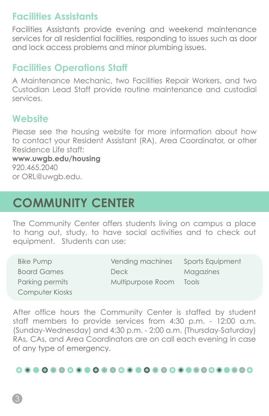## **Facilities Assistants**

Facilities Assistants provide evening and weekend maintenance services for all residential facilities, responding to issues such as door and lock access problems and minor plumbing issues.

## **Facilities Operations Staff**

A Maintenance Mechanic, two Facilities Repair Workers, and two Custodian Lead Staff provide routine maintenance and custodial services.

#### **Website**

Please see the housing website for more information about how to contact your Resident Assistant (RA), Area Coordinator, or other Residence Life staff:

**www.uwgb.edu/housing** 920.465.2040 or ORL@uwgb.edu.

# **COMMUNITY CENTER**

The Community Center offers students living on campus a place to hang out, study, to have social activities and to check out equipment. Students can use:

| Bike Pump          | Vending machines  | Sports Equipment |
|--------------------|-------------------|------------------|
| <b>Board Games</b> | <b>Deck</b>       | Magazines        |
| Parking permits    | Multipurpose Room | Tools            |
| Computer Kiosks    |                   |                  |

After office hours the Community Center is staffed by student staff members to provide services from 4:30 p.m. - 12:00 a.m. (Sunday-Wednesday) and 4:30 p.m. - 2:00 a.m. (Thursday-Saturday) RAs, CAs, and Area Coordinators are on call each evening in case of any type of emergency.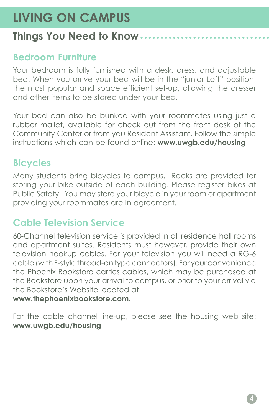# **LIVING ON CAMPUS**

## **Things You Need to Know**

### **Bedroom Furniture**

Your bedroom is fully furnished with a desk, dress, and adjustable bed. When you arrive your bed will be in the "junior Loft" position, the most popular and space efficient set-up, allowing the dresser and other items to be stored under your bed.

Your bed can also be bunked with your roommates using just a rubber mallet, available for check out from the front desk of the Community Center or from you Resident Assistant. Follow the simple instructions which can be found online: **www.uwgb.edu/housing** 

## **Bicycles**

Many students bring bicycles to campus. Racks are provided for storing your bike outside of each building. Please register bikes at Public Safety. You may store your bicycle in your room or apartment providing your roommates are in agreement.

## **Cable Television Service**

60-Channel television service is provided in all residence hall rooms and apartment suites. Residents must however, provide their own television hookup cables. For your television you will need a RG-6 cable (with F-style thread-on type connectors). For your convenience the Phoenix Bookstore carries cables, which may be purchased at the Bookstore upon your arrival to campus, or prior to your arrival via the Bookstore's Website located at **www.thephoenixbookstore.com.**

For the cable channel line-up, please see the housing web site: **www.uwgb.edu/housing**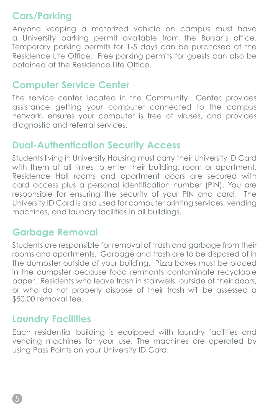## **Cars/Parking**

Anyone keeping a motorized vehicle on campus must have a University parking permit available from the Bursar's office. Temporary parking permits for 1-5 days can be purchased at the Residence Life Office. Free parking permits for guests can also be obtained at the Residence Life Office.

## **Computer Service Center**

The service center, located in the Community Center, provides assistance getting your computer connected to the campus network, ensures your computer is free of viruses, and provides diagnostic and referral services.

#### **Dual-Authentication Security Access**

Students living in University Housing must carry their University ID Card with them at all times to enter their building, room or apartment. Residence Hall rooms and apartment doors are secured with card access plus a personal identification number (PIN). You are responsible for ensuring the security of your PIN and card. The University ID Card is also used for computer printing services, vending machines, and laundry facilities in all buildings.

## **Garbage Removal**

Students are responsible for removal of trash and garbage from their rooms and apartments. Garbage and trash are to be disposed of in the dumpster outside of your building. Pizza boxes must be placed in the dumpster because food remnants contaminate recyclable paper. Residents who leave trash in stairwells, outside of their doors, or who do not properly dispose of their trash will be assessed a \$50.00 removal fee.

#### **Laundry Facilities**

Each residential building is equipped with laundry facilities and vending machines for your use. The machines are operated by using Pass Points on your University ID Card.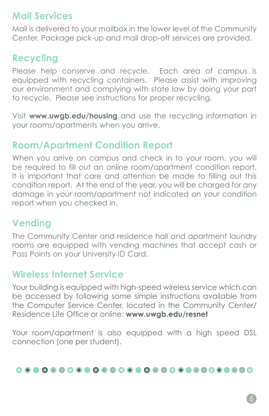## **Mail Services**

Mail is delivered to your mailbox in the lower level of the Community Center. Package pick-up and mail drop-off services are provided.

## **Recycling**

Please help conserve and recycle. Each area of campus is equipped with recycling containers. Please assist with improving our environment and complying with state law by doing your part to recycle. Please see instructions for proper recycling.

Visit **www.uwgb.edu/housing** and use the recycling information in your rooms/apartments when you arrive.

## **Room/Apartment Condition Report**

When you arrive on campus and check in to your room, you will be required to fill out an online room/apartment condition report. It is important that care and attention be made to filling out this condition report. At the end of the year, you will be charged for any damage in your room/apartment not indicated on your condition report when you checked in.

## **Vending**

The Community Center and residence hall and apartment laundry rooms are equipped with vending machines that accept cash or Pass Points on your University ID Card.

## **Wireless Internet Service**

Your building is equipped with high-speed wireless service which can be accessed by following some simple instructions available from the Computer Service Center, located in the Community Center/ Residence Life Office or online: **www.uwgb.edu/resnet**

Your room/apartment is also equipped with a high speed DSL connection (one per student).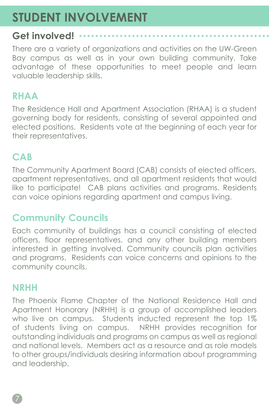# **STUDENT INVOLVEMENT**

#### **Get involved!**

There are a variety of organizations and activities on the UW-Green Bay campus as well as in your own building community. Take advantage of these opportunities to meet people and learn valuable leadership skills.

## **RHAA**

The Residence Hall and Apartment Association (RHAA) is a student governing body for residents, consisting of several appointed and elected positions. Residents vote at the beginning of each year for their representatives.

## **CAB**

The Community Apartment Board (CAB) consists of elected officers, apartment representatives, and all apartment residents that would like to participate! CAB plans activities and programs. Residents can voice opinions regarding apartment and campus living.

## **Community Councils**

Each community of buildings has a council consisting of elected officers, floor representatives, and any other building members interested in getting involved. Community councils plan activities and programs. Residents can voice concerns and opinions to the community councils.

## **NRHH**

The Phoenix Flame Chapter of the National Residence Hall and Apartment Honorary (NRHH) is a group of accomplished leaders who live on campus. Students inducted represent the top 1% of students living on campus. NRHH provides recognition for outstanding individuals and programs on campus as well as regional and national levels. Members act as a resource and as role models to other groups/individuals desiring information about programming and leadership.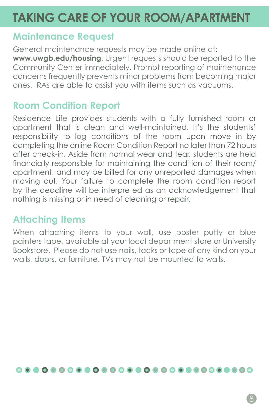# **TAKING CARE OF YOUR ROOM/APARTMENT**

### **Maintenance Request**

General maintenance requests may be made online at: **www.uwgb.edu/housing**. Urgent requests should be reported to the Community Center immediately. Prompt reporting of maintenance concerns frequently prevents minor problems from becoming major ones. RAs are able to assist you with items such as vacuums.

## **Room Condition Report**

Residence Life provides students with a fully furnished room or apartment that is clean and well-maintained. It's the students' responsibility to log conditions of the room upon move in by completing the online Room Condition Report no later than 72 hours after check-in. Aside from normal wear and tear, students are held financially responsible for maintaining the condition of their room/ apartment, and may be billed for any unreported damages when moving out. Your failure to complete the room condition report by the deadline will be interpreted as an acknowledgement that nothing is missing or in need of cleaning or repair.

## **Attaching Items**

When attaching items to your wall, use poster putty or blue painters tape, available at your local department store or University Bookstore. Please do not use nails, tacks or tape of any kind on your walls, doors, or furniture. TVs may not be mounted to walls.

#### <u>. . . . . . . . . . . . .</u>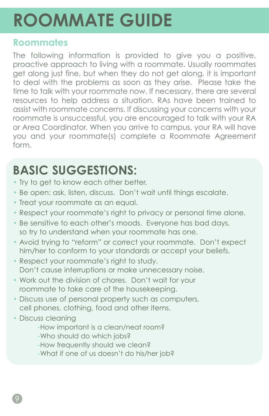# **ROOMMATE GUIDE**

#### **Roommates**

The following information is provided to give you a positive, proactive approach to living with a roommate. Usually roommates get along just fine, but when they do not get along, it is important to deal with the problems as soon as they arise. Please take the time to talk with your roommate now. If necessary, there are several resources to help address a situation. RAs have been trained to assist with roommate concerns. If discussing your concerns with your roommate is unsuccessful, you are encouraged to talk with your RA or Area Coordinator. When you arrive to campus, your RA will have you and your roommate(s) complete a Roommate Agreement form.

# **BASIC SUGGESTIONS:**

- Try to get to know each other better.
- Be open: ask, listen, discuss. Don't wait until things escalate.
- Treat your roommate as an equal.
- Respect your roommate's right to privacy or personal time alone.
- Be sensitive to each other's moods. Everyone has bad days, so try to understand when your roommate has one.
- Avoid trying to "reform" or correct your roommate. Don't expect him/her to conform to your standards or accept your beliefs.
- Respect your roommate's right to study. Don't cause interruptions or make unnecessary noise.
- Work out the division of chores. Don't wait for your roommate to take care of the housekeeping.
- Discuss use of personal property such as computers, cell phones, clothing, food and other items.
- Discuss cleaning
	- **-**How important is a clean/neat room?
	- **-**Who should do which jobs?
	- **-**How frequently should we clean?
	- **-**What if one of us doesn't do his/her job?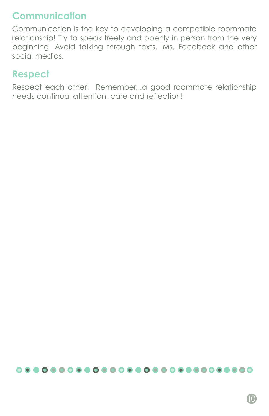## **Communication**

Communication is the key to developing a compatible roommate relationship! Try to speak freely and openly in person from the very beginning. Avoid talking through texts, IMs, Facebook and other social medias.

## **Respect**

Respect each other! Remember...a good roommate relationship needs continual attention, care and reflection!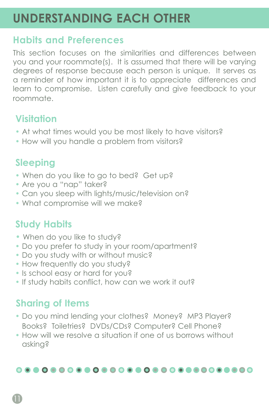# **UNDERSTANDING EACH OTHER**

#### **Habits and Preferences**

This section focuses on the similarities and differences between you and your roommate(s). It is assumed that there will be varying degrees of response because each person is unique. It serves as a reminder of how important it is to appreciate differences and learn to compromise. Listen carefully and give feedback to your roommate.

## **Visitation**

- At what times would you be most likely to have visitors?
- How will you handle a problem from visitors?

## **Sleeping**

- When do you like to go to bed? Get up?
- Are you a "nap" taker?
- Can you sleep with lights/music/television on?
- What compromise will we make?

## **Study Habits**

- When do you like to study?
- Do you prefer to study in your room/apartment?
- Do you study with or without music?
- How frequently do you study?
- Is school easy or hard for you?
- If study habits conflict, how can we work it out?

## **Sharing of Items**

- Do you mind lending your clothes? Money? MP3 Player? Books? Toiletries? DVDs/CDs? Computer? Cell Phone?
- How will we resolve a situation if one of us borrows without asking?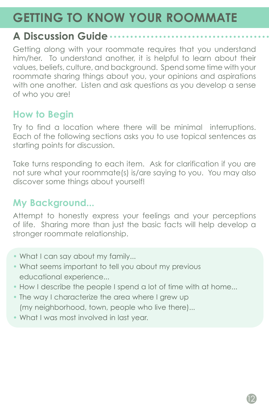# **GETTING TO KNOW YOUR ROOMMATE**

## **A Discussion Guide**

Getting along with your roommate requires that you understand him/her. To understand another, it is helpful to learn about their values, beliefs, culture, and background. Spend some time with your roommate sharing things about you, your opinions and aspirations with one another. Listen and ask questions as you develop a sense of who you are!

## **How to Begin**

Try to find a location where there will be minimal interruptions. Each of the following sections asks you to use topical sentences as starting points for discussion.

Take turns responding to each item. Ask for clarification if you are not sure what your roommate(s) is/are saying to you. You may also discover some things about yourself!

## **My Background...**

Attempt to honestly express your feelings and your perceptions of life. Sharing more than just the basic facts will help develop a stronger roommate relationship.

- What I can say about my family...
- What seems important to tell you about my previous educational experience...
- How I describe the people I spend a lot of time with at home...
- The way I characterize the area where I grew up (my neighborhood, town, people who live there)...
- What I was most involved in last year.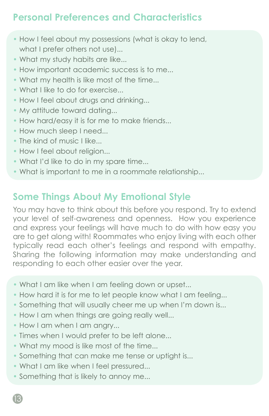## **Personal Preferences and Characteristics**

- How I feel about my possessions (what is okay to lend, what I prefer others not use)...
- What my study habits are like...
- How important academic success is to me...
- What my health is like most of the time...
- What I like to do for exercise...
- How I feel about drugs and drinking...
- My attitude toward dating...
- How hard/easy it is for me to make friends...
- How much sleep I need...
- The kind of music I like...
- How I feel about religion...
- What I'd like to do in my spare time...
- What is important to me in a roommate relationship...

## **Some Things About My Emotional Style**

You may have to think about this before you respond. Try to extend your level of self-awareness and openness. How you experience and express your feelings will have much to do with how easy you are to get along with! Roommates who enjoy living with each other typically read each other's feelings and respond with empathy. Sharing the following information may make understanding and responding to each other easier over the year.

- What I am like when I am feeling down or upset...
- How hard it is for me to let people know what I am feeling...
- Something that will usually cheer me up when I'm down is...
- How I am when things are going really well...
- How I am when I am angry...
- Times when I would prefer to be left alone...
- What my mood is like most of the time...
- Something that can make me tense or uptight is...
- What I am like when I feel pressured...
- Something that is likely to annoy me...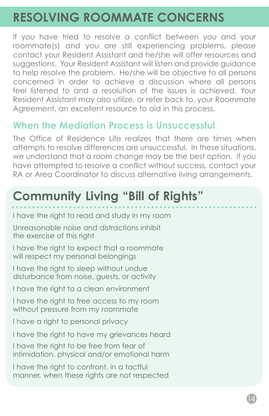# **RESOLVING ROOMMATE CONCERNS**

If you have tried to resolve a conflict between you and your roommate(s) and you are still experiencing problems, please contact your Resident Assistant and he/she will offer resources and suggestions. Your Resident Assistant will listen and provide guidance to help resolve the problem. He/she will be objective to all persons concerned in order to achieve a discussion where all persons feel listened to and a resolution of the issues is achieved. Your Resident Assistant may also utilize, or refer back to, your Roommate Agreement, an excellent resource to aid in this process.

## **When the Mediation Process is Unsuccessful**

The Office of Residence Life realizes that there are times when attempts to resolve differences are unsuccessful. In these situations, we understand that a room change may be the best option. If you have attempted to resolve a conflict without success, contact your RA or Area Coordinator to discuss alternative living arrangements.

# **Community Living "Bill of Rights"**

I have the right to read and study in my room

Unreasonable noise and distractions inhibit the exercise of this right

I have the right to expect that a roommate will respect my personal belongings

I have the right to sleep without undue disturbance from noise, guests, or activity

I have the right to a clean environment

I have the right to free access to my room without pressure from my roommate

I have a right to personal privacy

I have the right to have my grievances heard

I have the right to be free from fear of intimidation, physical and/or emotional harm

I have the right to confront, in a tactful manner, when these rights are not respected